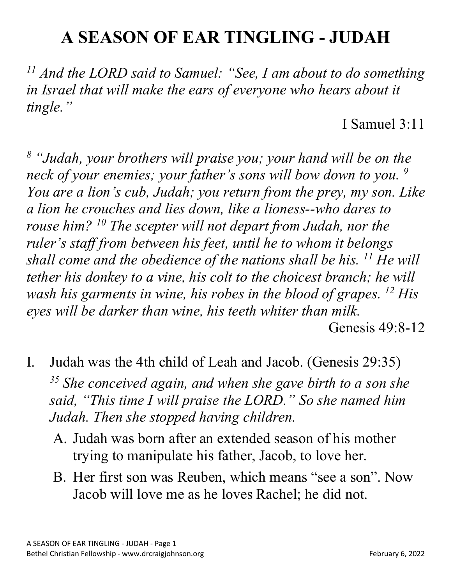## **A SEASON OF EAR TINGLING - JUDAH**

*<sup>11</sup> And the LORD said to Samuel: "See, I am about to do something*  in Israel that will make the ears of everyone who hears about it *tingle."*

I Samuel 3:11

*<sup>8</sup> "Judah, your brothers will praise you; your hand will be on the neck of your enemies; your father's sons will bow down to you. 9 You are a lion's cub, Judah; you return from the prey, my son. Like a lion he crouches and lies down, like a lioness--who dares to rouse him? 10 The scepter will not depart from Judah, nor the ruler's staff from between his feet, until he to whom it belongs shall come and the obedience of the nations shall be his. 11 He will tether his donkey to a vine, his colt to the choicest branch; he will wash his garments in wine, his robes in the blood of grapes. 12 His eyes will be darker than wine, his teeth whiter than milk.* Genesis 49:8-12

- I. Judah was the 4th child of Leah and Jacob. (Genesis 29:35) *<sup>35</sup> She conceived again, and when she gave birth to a son she said, "This time I will praise the LORD." So she named him Judah. Then she stopped having children.*
	- A. Judah was born after an extended season of his mother trying to manipulate his father, Jacob, to love her.
	- B. Her first son was Reuben, which means "see a son". Now Jacob will love me as he loves Rachel; he did not.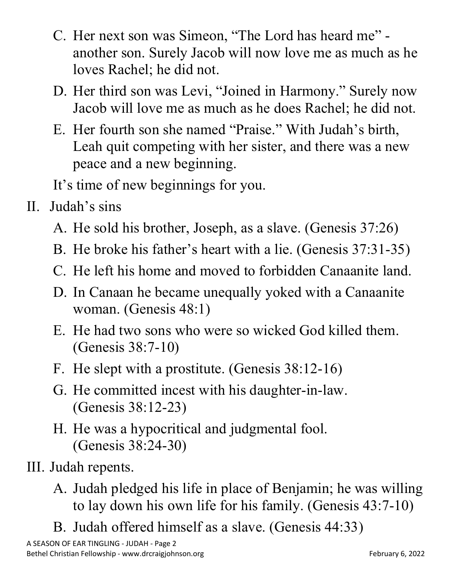- C. Her next son was Simeon, "The Lord has heard me" another son. Surely Jacob will now love me as much as he loves Rachel; he did not.
- D. Her third son was Levi, "Joined in Harmony." Surely now Jacob will love me as much as he does Rachel; he did not.
- E. Her fourth son she named "Praise." With Judah's birth, Leah quit competing with her sister, and there was a new peace and a new beginning.

It's time of new beginnings for you.

- II. Judah's sins
	- A. He sold his brother, Joseph, as a slave. (Genesis 37:26)
	- B. He broke his father's heart with a lie. (Genesis 37:31-35)
	- C. He left his home and moved to forbidden Canaanite land.
	- D. In Canaan he became unequally yoked with a Canaanite woman. (Genesis 48:1)
	- E. He had two sons who were so wicked God killed them. (Genesis 38:7-10)
	- F. He slept with a prostitute. (Genesis 38:12-16)
	- G. He committed incest with his daughter-in-law. (Genesis 38:12-23)
	- H. He was a hypocritical and judgmental fool. (Genesis 38:24-30)
- III. Judah repents.
	- A. Judah pledged his life in place of Benjamin; he was willing to lay down his own life for his family. (Genesis 43:7-10)
	- B. Judah offered himself as a slave. (Genesis 44:33)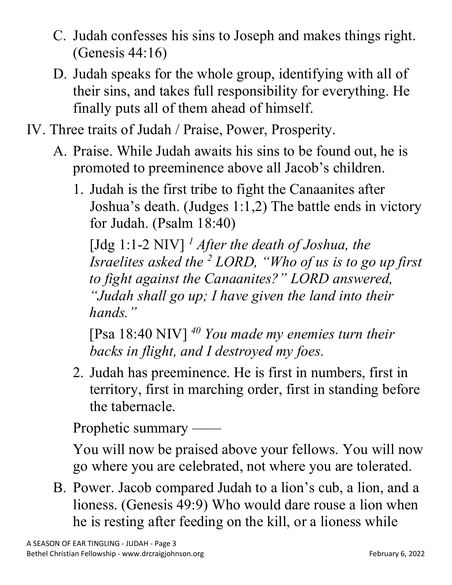- C. Judah confesses his sins to Joseph and makes things right. (Genesis 44:16)
- D. Judah speaks for the whole group, identifying with all of their sins, and takes full responsibility for everything. He finally puts all of them ahead of himself.
- IV. Three traits of Judah / Praise, Power, Prosperity.
	- A. Praise. While Judah awaits his sins to be found out, he is promoted to preeminence above all Jacob's children.
		- 1. Judah is the first tribe to fight the Canaanites after Joshua's death. (Judges 1:1,2) The battle ends in victory for Judah. (Psalm 18:40)

[Jdg 1:1-2 NIV] *<sup>1</sup> After the death of Joshua, the Israelites asked the 2 LORD, "Who of us is to go up first to fight against the Canaanites?" LORD answered, "Judah shall go up; I have given the land into their hands."*

[Psa 18:40 NIV] *<sup>40</sup> You made my enemies turn their backs in flight, and I destroyed my foes.*

2. Judah has preeminence. He is first in numbers, first in territory, first in marching order, first in standing before the tabernacle.

Prophetic summary ——

You will now be praised above your fellows. You will now go where you are celebrated, not where you are tolerated.

B. Power. Jacob compared Judah to a lion's cub, a lion, and a lioness. (Genesis 49:9) Who would dare rouse a lion when he is resting after feeding on the kill, or a lioness while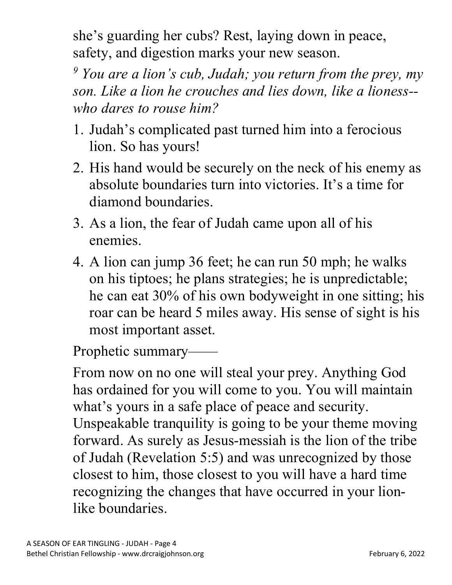she's guarding her cubs? Rest, laying down in peace, safety, and digestion marks your new season.

*<sup>9</sup> You are a lion's cub, Judah; you return from the prey, my son. Like a lion he crouches and lies down, like a lioness- who dares to rouse him?*

- 1. Judah's complicated past turned him into a ferocious lion. So has yours!
- 2. His hand would be securely on the neck of his enemy as absolute boundaries turn into victories. It's a time for diamond boundaries.
- 3. As a lion, the fear of Judah came upon all of his enemies.
- 4. A lion can jump 36 feet; he can run 50 mph; he walks on his tiptoes; he plans strategies; he is unpredictable; he can eat 30% of his own bodyweight in one sitting; his roar can be heard 5 miles away. His sense of sight is his most important asset.

Prophetic summary——

From now on no one will steal your prey. Anything God has ordained for you will come to you. You will maintain what's yours in a safe place of peace and security. Unspeakable tranquility is going to be your theme moving forward. As surely as Jesus-messiah is the lion of the tribe of Judah (Revelation 5:5) and was unrecognized by those closest to him, those closest to you will have a hard time recognizing the changes that have occurred in your lionlike boundaries.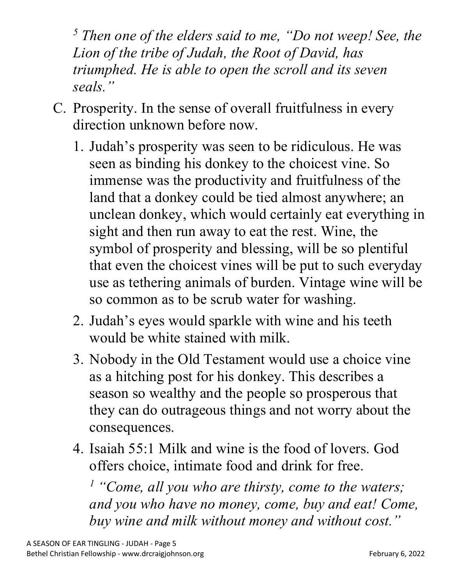*<sup>5</sup> Then one of the elders said to me, "Do not weep! See, the Lion of the tribe of Judah, the Root of David, has triumphed. He is able to open the scroll and its seven seals."*

- C. Prosperity. In the sense of overall fruitfulness in every direction unknown before now.
	- 1. Judah's prosperity was seen to be ridiculous. He was seen as binding his donkey to the choicest vine. So immense was the productivity and fruitfulness of the land that a donkey could be tied almost anywhere; an unclean donkey, which would certainly eat everything in sight and then run away to eat the rest. Wine, the symbol of prosperity and blessing, will be so plentiful that even the choicest vines will be put to such everyday use as tethering animals of burden. Vintage wine will be so common as to be scrub water for washing.
	- 2. Judah's eyes would sparkle with wine and his teeth would be white stained with milk.
	- 3. Nobody in the Old Testament would use a choice vine as a hitching post for his donkey. This describes a season so wealthy and the people so prosperous that they can do outrageous things and not worry about the consequences.
	- 4. Isaiah 55:1 Milk and wine is the food of lovers. God offers choice, intimate food and drink for free.

*<sup>1</sup> "Come, all you who are thirsty, come to the waters; and you who have no money, come, buy and eat! Come, buy wine and milk without money and without cost."*